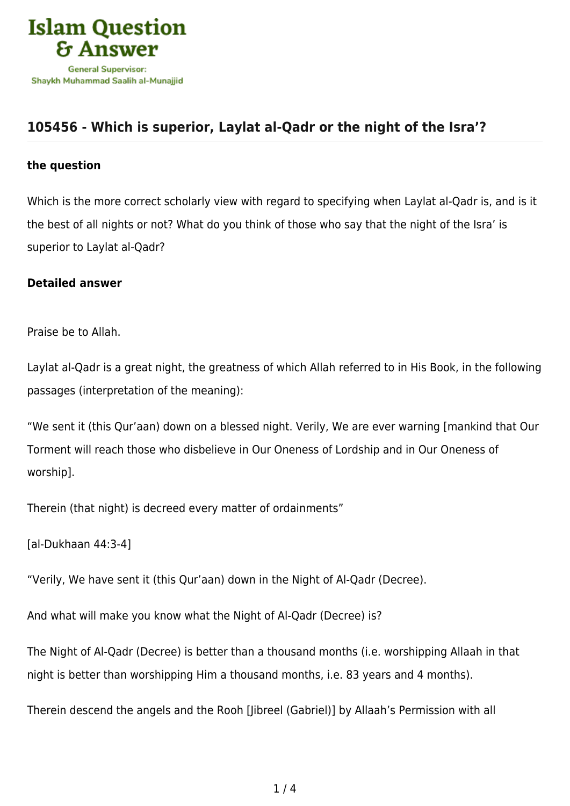

## **[105456 - Which is superior, Laylat al-Qadr or the night of the Isra'?](https://islamqa.com/en/answers/105456/which-is-superior-laylat-al-qadr-or-the-night-of-the-isra)**

## **the question**

Which is the more correct scholarly view with regard to specifying when Laylat al-Qadr is, and is it the best of all nights or not? What do you think of those who say that the night of the Isra' is superior to Laylat al-Qadr?

## **Detailed answer**

Praise be to Allah.

Laylat al-Qadr is a great night, the greatness of which Allah referred to in His Book, in the following passages (interpretation of the meaning):

"We sent it (this Qur'aan) down on a blessed night. Verily, We are ever warning [mankind that Our Torment will reach those who disbelieve in Our Oneness of Lordship and in Our Oneness of worship].

Therein (that night) is decreed every matter of ordainments"

[al-Dukhaan 44:3-4]

"Verily, We have sent it (this Qur'aan) down in the Night of Al-Qadr (Decree).

And what will make you know what the Night of Al-Qadr (Decree) is?

The Night of Al-Qadr (Decree) is better than a thousand months (i.e. worshipping Allaah in that night is better than worshipping Him a thousand months, i.e. 83 years and 4 months).

Therein descend the angels and the Rooh [Jibreel (Gabriel)] by Allaah's Permission with all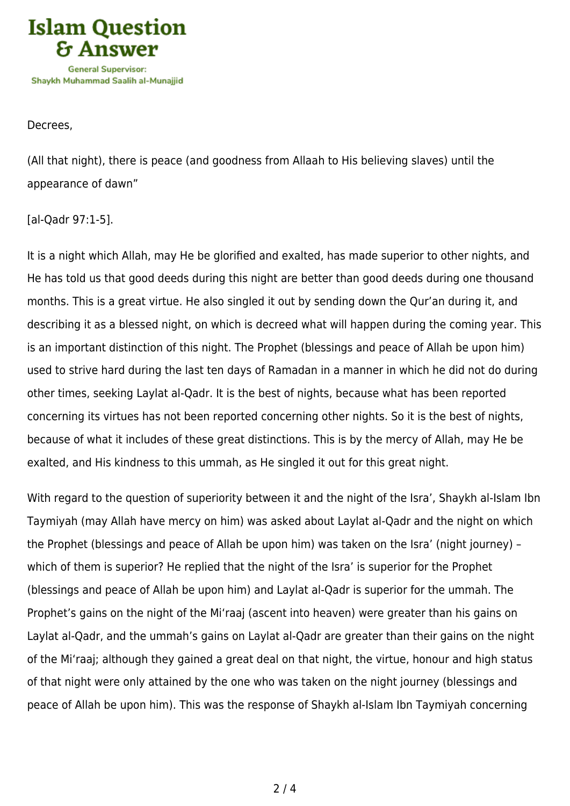

Decrees,

(All that night), there is peace (and goodness from Allaah to His believing slaves) until the appearance of dawn"

[al-Qadr 97:1-5].

It is a night which Allah, may He be glorified and exalted, has made superior to other nights, and He has told us that good deeds during this night are better than good deeds during one thousand months. This is a great virtue. He also singled it out by sending down the Qur'an during it, and describing it as a blessed night, on which is decreed what will happen during the coming year. This is an important distinction of this night. The Prophet (blessings and peace of Allah be upon him) used to strive hard during the last ten days of Ramadan in a manner in which he did not do during other times, seeking Laylat al-Qadr. It is the best of nights, because what has been reported concerning its virtues has not been reported concerning other nights. So it is the best of nights, because of what it includes of these great distinctions. This is by the mercy of Allah, may He be exalted, and His kindness to this ummah, as He singled it out for this great night.

With regard to the question of superiority between it and the night of the Isra', Shaykh al-Islam Ibn Taymiyah (may Allah have mercy on him) was asked about Laylat al-Qadr and the night on which the Prophet (blessings and peace of Allah be upon him) was taken on the Isra' (night journey) – which of them is superior? He replied that the night of the Isra' is superior for the Prophet (blessings and peace of Allah be upon him) and Laylat al-Qadr is superior for the ummah. The Prophet's gains on the night of the Mi'raaj (ascent into heaven) were greater than his gains on Laylat al-Qadr, and the ummah's gains on Laylat al-Qadr are greater than their gains on the night of the Mi'raaj; although they gained a great deal on that night, the virtue, honour and high status of that night were only attained by the one who was taken on the night journey (blessings and peace of Allah be upon him). This was the response of Shaykh al-Islam Ibn Taymiyah concerning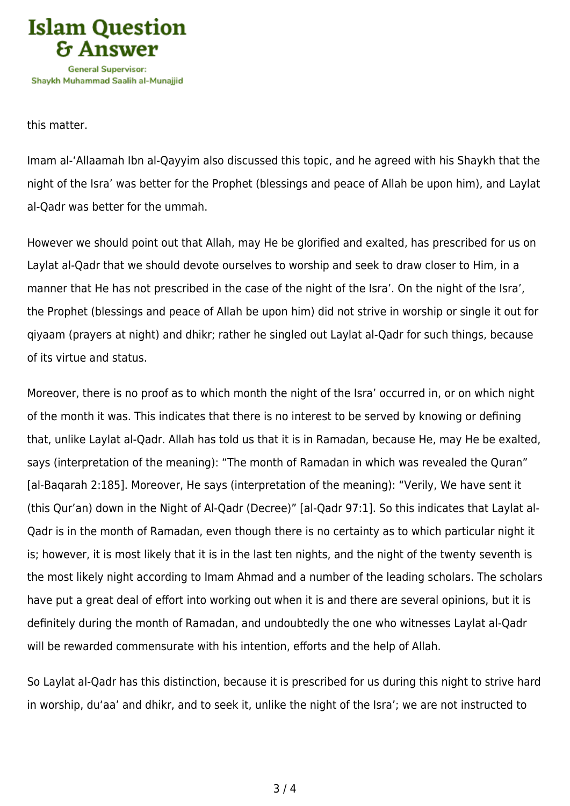

this matter.

Imam al-'Allaamah Ibn al-Qayyim also discussed this topic, and he agreed with his Shaykh that the night of the Isra' was better for the Prophet (blessings and peace of Allah be upon him), and Laylat al-Qadr was better for the ummah.

However we should point out that Allah, may He be glorified and exalted, has prescribed for us on Laylat al-Qadr that we should devote ourselves to worship and seek to draw closer to Him, in a manner that He has not prescribed in the case of the night of the Isra'. On the night of the Isra', the Prophet (blessings and peace of Allah be upon him) did not strive in worship or single it out for qiyaam (prayers at night) and dhikr; rather he singled out Laylat al-Qadr for such things, because of its virtue and status.

Moreover, there is no proof as to which month the night of the Isra' occurred in, or on which night of the month it was. This indicates that there is no interest to be served by knowing or defining that, unlike Laylat al-Qadr. Allah has told us that it is in Ramadan, because He, may He be exalted, says (interpretation of the meaning): "The month of Ramadan in which was revealed the Quran" [al-Baqarah 2:185]. Moreover, He says (interpretation of the meaning): "Verily, We have sent it (this Qur'an) down in the Night of Al-Qadr (Decree)" [al-Qadr 97:1]. So this indicates that Laylat al-Qadr is in the month of Ramadan, even though there is no certainty as to which particular night it is; however, it is most likely that it is in the last ten nights, and the night of the twenty seventh is the most likely night according to Imam Ahmad and a number of the leading scholars. The scholars have put a great deal of effort into working out when it is and there are several opinions, but it is definitely during the month of Ramadan, and undoubtedly the one who witnesses Laylat al-Qadr will be rewarded commensurate with his intention, efforts and the help of Allah.

So Laylat al-Qadr has this distinction, because it is prescribed for us during this night to strive hard in worship, du'aa' and dhikr, and to seek it, unlike the night of the Isra'; we are not instructed to